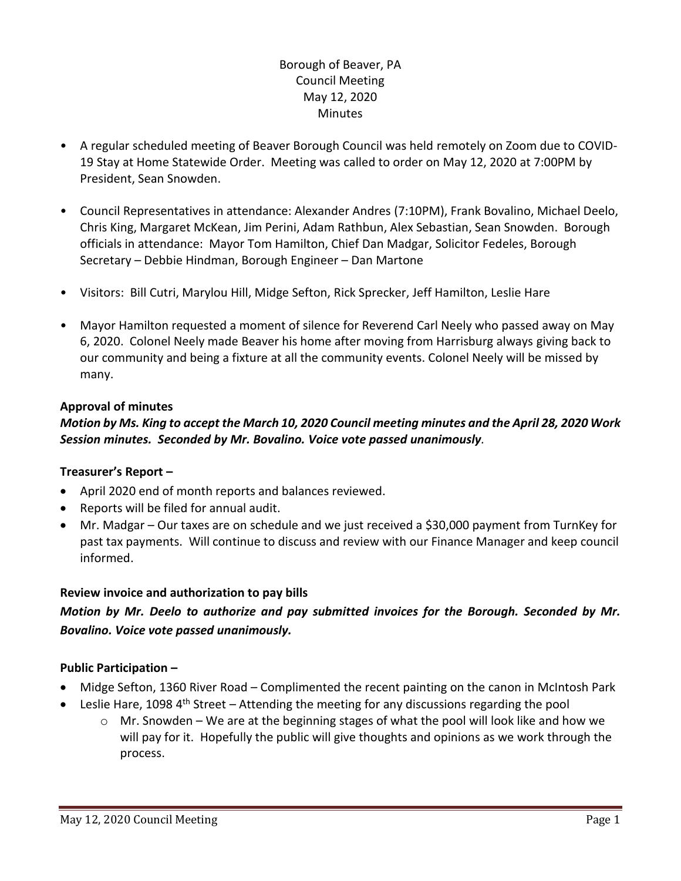## Borough of Beaver, PA Council Meeting May 12, 2020 **Minutes**

- A regular scheduled meeting of Beaver Borough Council was held remotely on Zoom due to COVID-19 Stay at Home Statewide Order. Meeting was called to order on May 12, 2020 at 7:00PM by President, Sean Snowden.
- Council Representatives in attendance: Alexander Andres (7:10PM), Frank Bovalino, Michael Deelo, Chris King, Margaret McKean, Jim Perini, Adam Rathbun, Alex Sebastian, Sean Snowden. Borough officials in attendance: Mayor Tom Hamilton, Chief Dan Madgar, Solicitor Fedeles, Borough Secretary – Debbie Hindman, Borough Engineer – Dan Martone
- Visitors: Bill Cutri, Marylou Hill, Midge Sefton, Rick Sprecker, Jeff Hamilton, Leslie Hare
- Mayor Hamilton requested a moment of silence for Reverend Carl Neely who passed away on May 6, 2020. Colonel Neely made Beaver his home after moving from Harrisburg always giving back to our community and being a fixture at all the community events. Colonel Neely will be missed by many.

#### **Approval of minutes**

## *Motion by Ms. King to accept the March 10, 2020 Council meeting minutes and the April 28, 2020 Work Session minutes. Seconded by Mr. Bovalino. Voice vote passed unanimously.*

#### **Treasurer's Report –**

- April 2020 end of month reports and balances reviewed.
- Reports will be filed for annual audit.
- Mr. Madgar Our taxes are on schedule and we just received a \$30,000 payment from TurnKey for past tax payments. Will continue to discuss and review with our Finance Manager and keep council informed.

#### **Review invoice and authorization to pay bills**

# *Motion by Mr. Deelo to authorize and pay submitted invoices for the Borough. Seconded by Mr. Bovalino. Voice vote passed unanimously.*

#### **Public Participation –**

- Midge Sefton, 1360 River Road Complimented the recent painting on the canon in McIntosh Park
- **•** Leslie Hare, 1098  $4^{\text{th}}$  Street Attending the meeting for any discussions regarding the pool
	- $\circ$  Mr. Snowden We are at the beginning stages of what the pool will look like and how we will pay for it. Hopefully the public will give thoughts and opinions as we work through the process.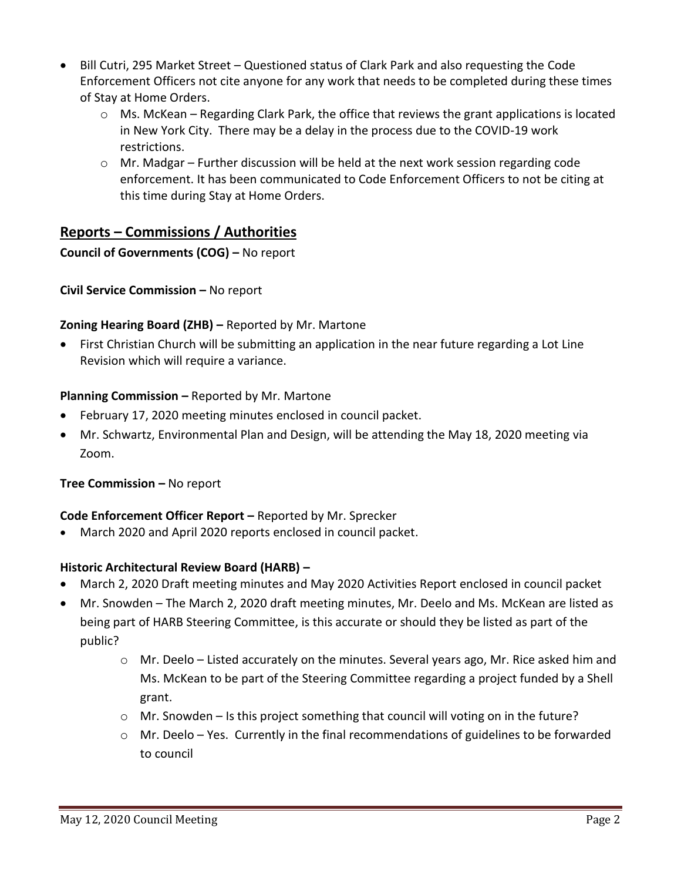- Bill Cutri, 295 Market Street Questioned status of Clark Park and also requesting the Code Enforcement Officers not cite anyone for any work that needs to be completed during these times of Stay at Home Orders.
	- $\circ$  Ms. McKean Regarding Clark Park, the office that reviews the grant applications is located in New York City. There may be a delay in the process due to the COVID-19 work restrictions.
	- $\circ$  Mr. Madgar Further discussion will be held at the next work session regarding code enforcement. It has been communicated to Code Enforcement Officers to not be citing at this time during Stay at Home Orders.

# **Reports – Commissions / Authorities**

# **Council of Governments (COG) –** No report

**Civil Service Commission –** No report

## **Zoning Hearing Board (ZHB) –** Reported by Mr. Martone

 First Christian Church will be submitting an application in the near future regarding a Lot Line Revision which will require a variance.

## **Planning Commission –** Reported by Mr. Martone

- February 17, 2020 meeting minutes enclosed in council packet.
- Mr. Schwartz, Environmental Plan and Design, will be attending the May 18, 2020 meeting via Zoom.

#### **Tree Commission –** No report

# **Code Enforcement Officer Report –** Reported by Mr. Sprecker

March 2020 and April 2020 reports enclosed in council packet.

#### **Historic Architectural Review Board (HARB) –**

- March 2, 2020 Draft meeting minutes and May 2020 Activities Report enclosed in council packet
- Mr. Snowden The March 2, 2020 draft meeting minutes, Mr. Deelo and Ms. McKean are listed as being part of HARB Steering Committee, is this accurate or should they be listed as part of the public?
	- o Mr. Deelo Listed accurately on the minutes. Several years ago, Mr. Rice asked him and Ms. McKean to be part of the Steering Committee regarding a project funded by a Shell grant.
	- $\circ$  Mr. Snowden Is this project something that council will voting on in the future?
	- $\circ$  Mr. Deelo Yes. Currently in the final recommendations of guidelines to be forwarded to council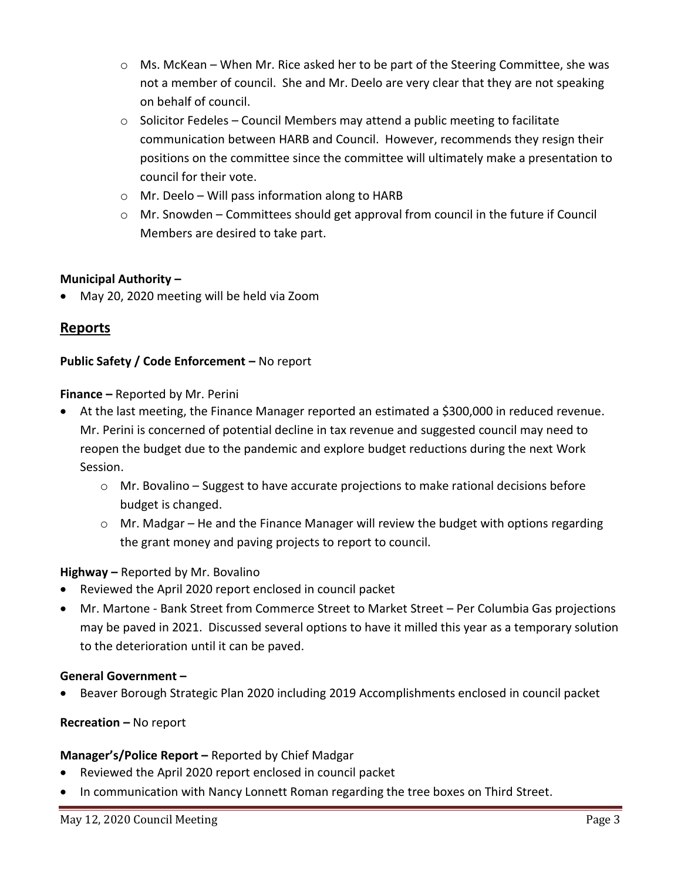- $\circ$  Ms. McKean When Mr. Rice asked her to be part of the Steering Committee, she was not a member of council. She and Mr. Deelo are very clear that they are not speaking on behalf of council.
- $\circ$  Solicitor Fedeles Council Members may attend a public meeting to facilitate communication between HARB and Council. However, recommends they resign their positions on the committee since the committee will ultimately make a presentation to council for their vote.
- o Mr. Deelo Will pass information along to HARB
- o Mr. Snowden Committees should get approval from council in the future if Council Members are desired to take part.

## **Municipal Authority –**

May 20, 2020 meeting will be held via Zoom

# **Reports**

#### **Public Safety / Code Enforcement - No report**

#### **Finance –** Reported by Mr. Perini

- At the last meeting, the Finance Manager reported an estimated a \$300,000 in reduced revenue. Mr. Perini is concerned of potential decline in tax revenue and suggested council may need to reopen the budget due to the pandemic and explore budget reductions during the next Work Session.
	- $\circ$  Mr. Bovalino Suggest to have accurate projections to make rational decisions before budget is changed.
	- $\circ$  Mr. Madgar He and the Finance Manager will review the budget with options regarding the grant money and paving projects to report to council.

#### **Highway –** Reported by Mr. Bovalino

- Reviewed the April 2020 report enclosed in council packet
- Mr. Martone Bank Street from Commerce Street to Market Street Per Columbia Gas projections may be paved in 2021. Discussed several options to have it milled this year as a temporary solution to the deterioration until it can be paved.

#### **General Government –**

Beaver Borough Strategic Plan 2020 including 2019 Accomplishments enclosed in council packet

**Recreation –** No report

#### **Manager's/Police Report –** Reported by Chief Madgar

- Reviewed the April 2020 report enclosed in council packet
- In communication with Nancy Lonnett Roman regarding the tree boxes on Third Street.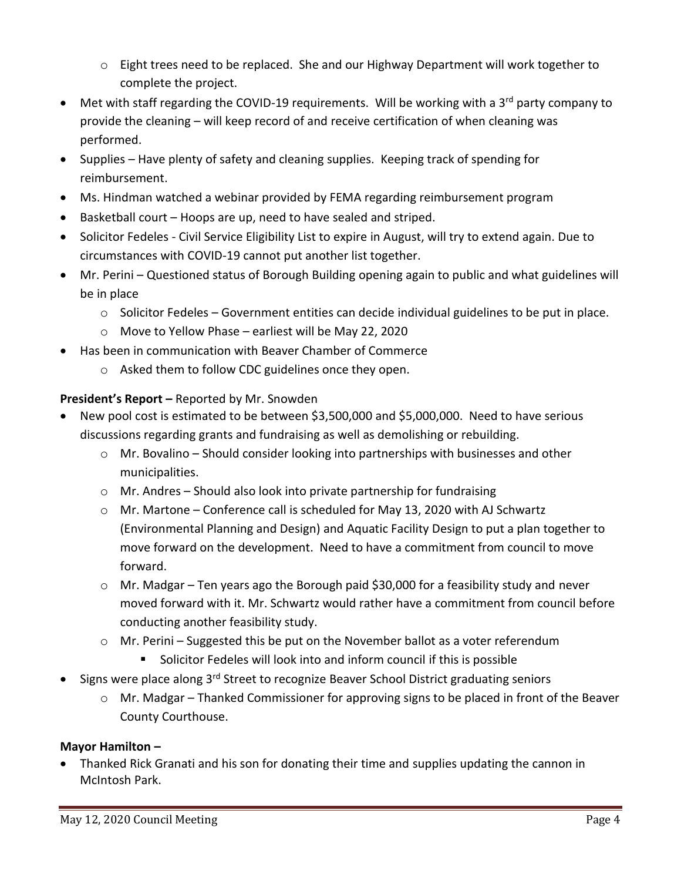- $\circ$  Eight trees need to be replaced. She and our Highway Department will work together to complete the project.
- Met with staff regarding the COVID-19 requirements. Will be working with a 3<sup>rd</sup> party company to provide the cleaning – will keep record of and receive certification of when cleaning was performed.
- Supplies Have plenty of safety and cleaning supplies. Keeping track of spending for reimbursement.
- Ms. Hindman watched a webinar provided by FEMA regarding reimbursement program
- Basketball court Hoops are up, need to have sealed and striped.
- Solicitor Fedeles Civil Service Eligibility List to expire in August, will try to extend again. Due to circumstances with COVID-19 cannot put another list together.
- Mr. Perini Questioned status of Borough Building opening again to public and what guidelines will be in place
	- $\circ$  Solicitor Fedeles Government entities can decide individual guidelines to be put in place.
	- o Move to Yellow Phase earliest will be May 22, 2020
- Has been in communication with Beaver Chamber of Commerce
	- o Asked them to follow CDC guidelines once they open.

# **President's Report –** Reported by Mr. Snowden

- New pool cost is estimated to be between \$3,500,000 and \$5,000,000. Need to have serious discussions regarding grants and fundraising as well as demolishing or rebuilding.
	- $\circ$  Mr. Bovalino Should consider looking into partnerships with businesses and other municipalities.
	- o Mr. Andres Should also look into private partnership for fundraising
	- $\circ$  Mr. Martone Conference call is scheduled for May 13, 2020 with AJ Schwartz (Environmental Planning and Design) and Aquatic Facility Design to put a plan together to move forward on the development. Need to have a commitment from council to move forward.
	- $\circ$  Mr. Madgar Ten years ago the Borough paid \$30,000 for a feasibility study and never moved forward with it. Mr. Schwartz would rather have a commitment from council before conducting another feasibility study.
	- o Mr. Perini Suggested this be put on the November ballot as a voter referendum Solicitor Fedeles will look into and inform council if this is possible
		-
- Signs were place along 3<sup>rd</sup> Street to recognize Beaver School District graduating seniors
	- o Mr. Madgar Thanked Commissioner for approving signs to be placed in front of the Beaver County Courthouse.

# **Mayor Hamilton –**

 Thanked Rick Granati and his son for donating their time and supplies updating the cannon in McIntosh Park.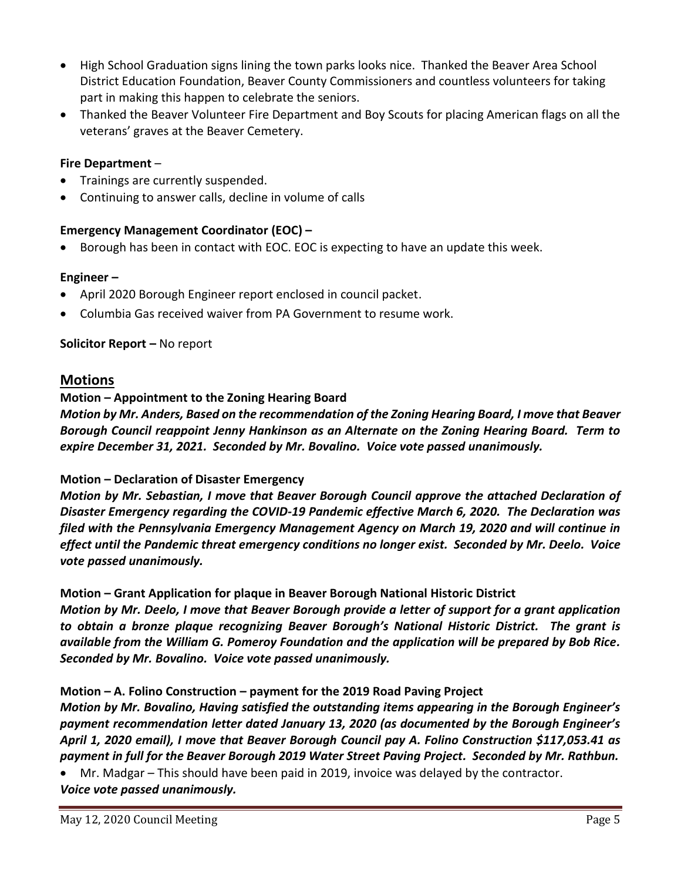- High School Graduation signs lining the town parks looks nice. Thanked the Beaver Area School District Education Foundation, Beaver County Commissioners and countless volunteers for taking part in making this happen to celebrate the seniors.
- Thanked the Beaver Volunteer Fire Department and Boy Scouts for placing American flags on all the veterans' graves at the Beaver Cemetery.

#### **Fire Department** –

- Trainings are currently suspended.
- Continuing to answer calls, decline in volume of calls

#### **Emergency Management Coordinator (EOC) –**

Borough has been in contact with EOC. EOC is expecting to have an update this week.

#### **Engineer –**

- April 2020 Borough Engineer report enclosed in council packet.
- Columbia Gas received waiver from PA Government to resume work.

#### **Solicitor Report –** No report

## **Motions**

#### **Motion – Appointment to the Zoning Hearing Board**

*Motion by Mr. Anders, Based on the recommendation of the Zoning Hearing Board, I move that Beaver Borough Council reappoint Jenny Hankinson as an Alternate on the Zoning Hearing Board. Term to expire December 31, 2021. Seconded by Mr. Bovalino. Voice vote passed unanimously.*

#### **Motion – Declaration of Disaster Emergency**

*Motion by Mr. Sebastian, I move that Beaver Borough Council approve the attached Declaration of Disaster Emergency regarding the COVID-19 Pandemic effective March 6, 2020. The Declaration was filed with the Pennsylvania Emergency Management Agency on March 19, 2020 and will continue in effect until the Pandemic threat emergency conditions no longer exist. Seconded by Mr. Deelo. Voice vote passed unanimously.*

#### **Motion – Grant Application for plaque in Beaver Borough National Historic District**

*Motion by Mr. Deelo, I move that Beaver Borough provide a letter of support for a grant application to obtain a bronze plaque recognizing Beaver Borough's National Historic District. The grant is available from the William G. Pomeroy Foundation and the application will be prepared by Bob Rice. Seconded by Mr. Bovalino. Voice vote passed unanimously.*

#### **Motion – A. Folino Construction – payment for the 2019 Road Paving Project**

*Motion by Mr. Bovalino, Having satisfied the outstanding items appearing in the Borough Engineer's payment recommendation letter dated January 13, 2020 (as documented by the Borough Engineer's April 1, 2020 email), I move that Beaver Borough Council pay A. Folino Construction \$117,053.41 as payment in full for the Beaver Borough 2019 Water Street Paving Project. Seconded by Mr. Rathbun.* 

Mr. Madgar – This should have been paid in 2019, invoice was delayed by the contractor.

*Voice vote passed unanimously.*